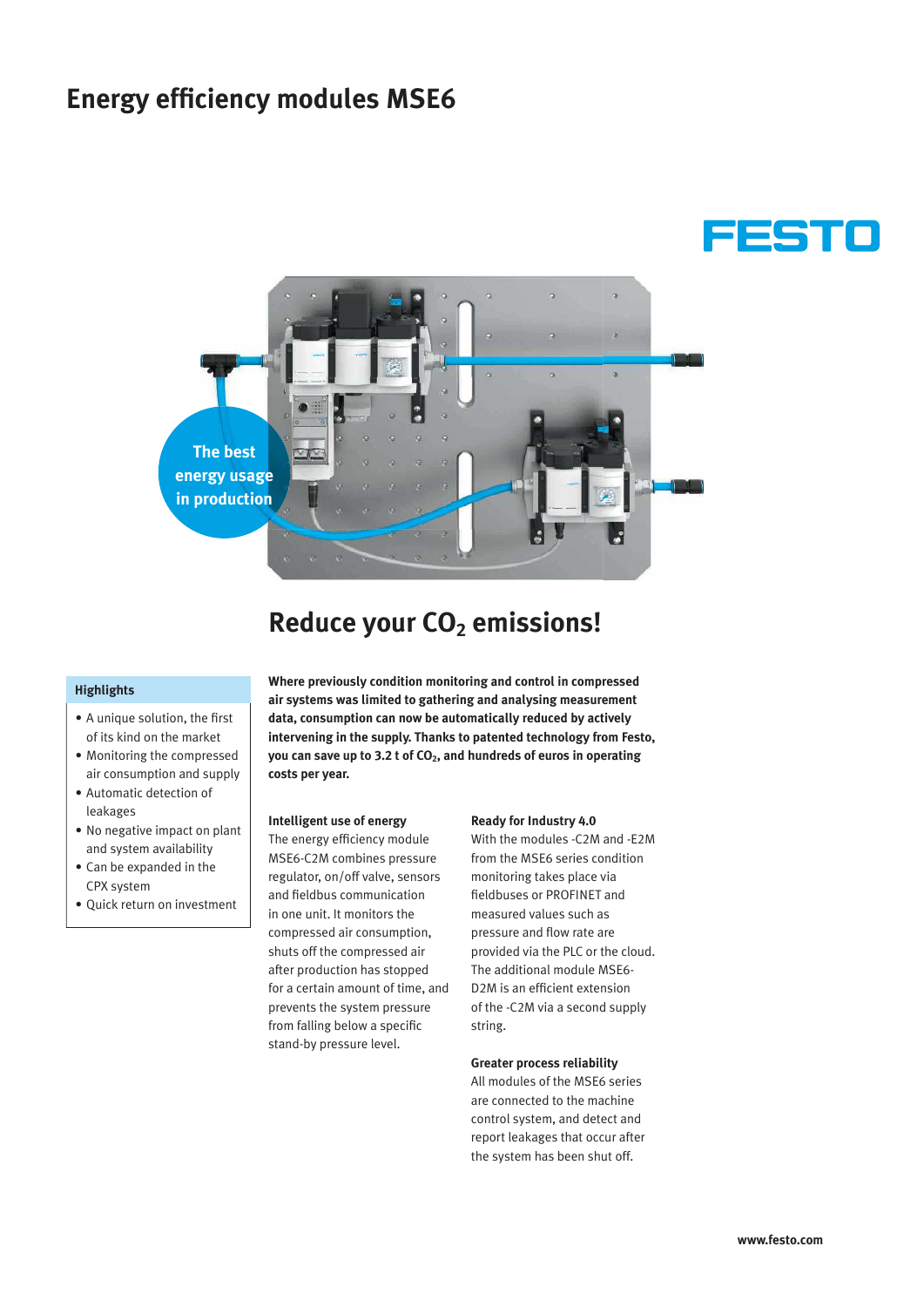## **Energy efficiency modules MSE6**





## **Reduce your CO2 emissions!**

## **Highlights**

- A unique solution, the first of its kind on the market
- Monitoring the compressed air consumption and supply
- Automatic detection of leakages
- No negative impact on plant and system availability
- Can be expanded in the CPX system
- Quick return on investment

**Where previously condition monitoring and control in compressed air systems was limited to gathering and analysing measurement data, consumption can now be automatically reduced by actively intervening in the supply. Thanks to patented technology from Festo, you can save up to 3.2 t of CO2, and hundreds of euros in operating costs per year.**

### **Intelligent use of energy**

The energy efficiency module MSE6-C2M combines pressure regulator, on/off valve, sensors and fieldbus communication in one unit. It monitors the compressed air consumption, shuts off the compressed air after production has stopped for a certain amount of time, and prevents the system pressure from falling below a specific stand-by pressure level.

#### **Ready for Industry 4.0**

With the modules -C2M and -E2M from the MSE6 series condition monitoring takes place via fieldbuses or PROFINET and measured values such as pressure and flow rate are provided via the PLC or the cloud. The additional module MSE6- D2M is an efficient extension of the -C2M via a second supply string.

#### **Greater process reliability**

All modules of the MSE6 series are connected to the machine control system, and detect and report leakages that occur after the system has been shut off.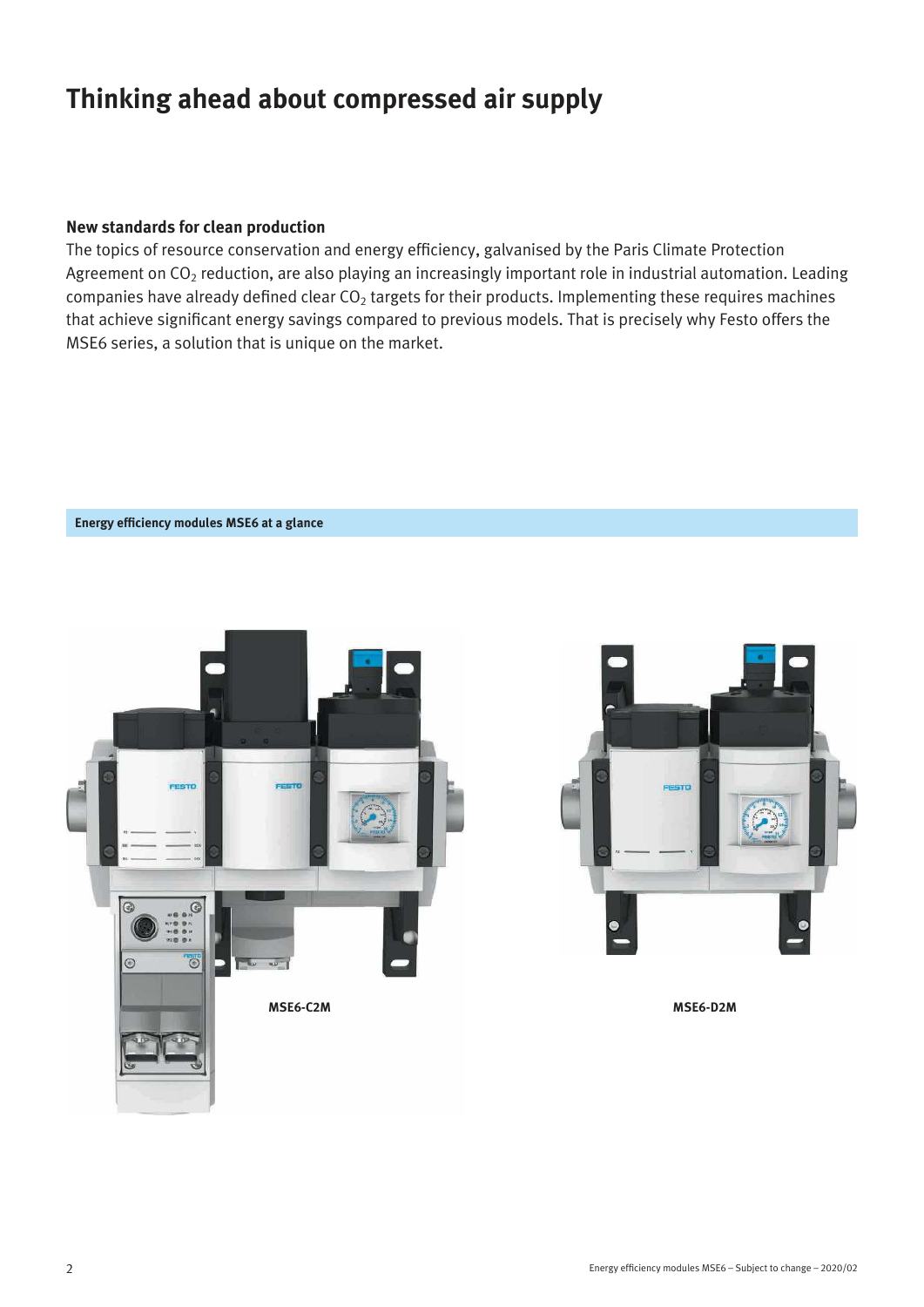## **Thinking ahead about compressed air supply**

## **New standards for clean production**

**Energy efficiency modules MSE6 at a glance** 

The topics of resource conservation and energy efficiency, galvanised by the Paris Climate Protection Agreement on  $CO<sub>2</sub>$  reduction, are also playing an increasingly important role in industrial automation. Leading companies have already defined clear  $CO<sub>2</sub>$  targets for their products. Implementing these requires machines that achieve significant energy savings compared to previous models. That is precisely why Festo offers the MSE6 series, a solution that is unique on the market.



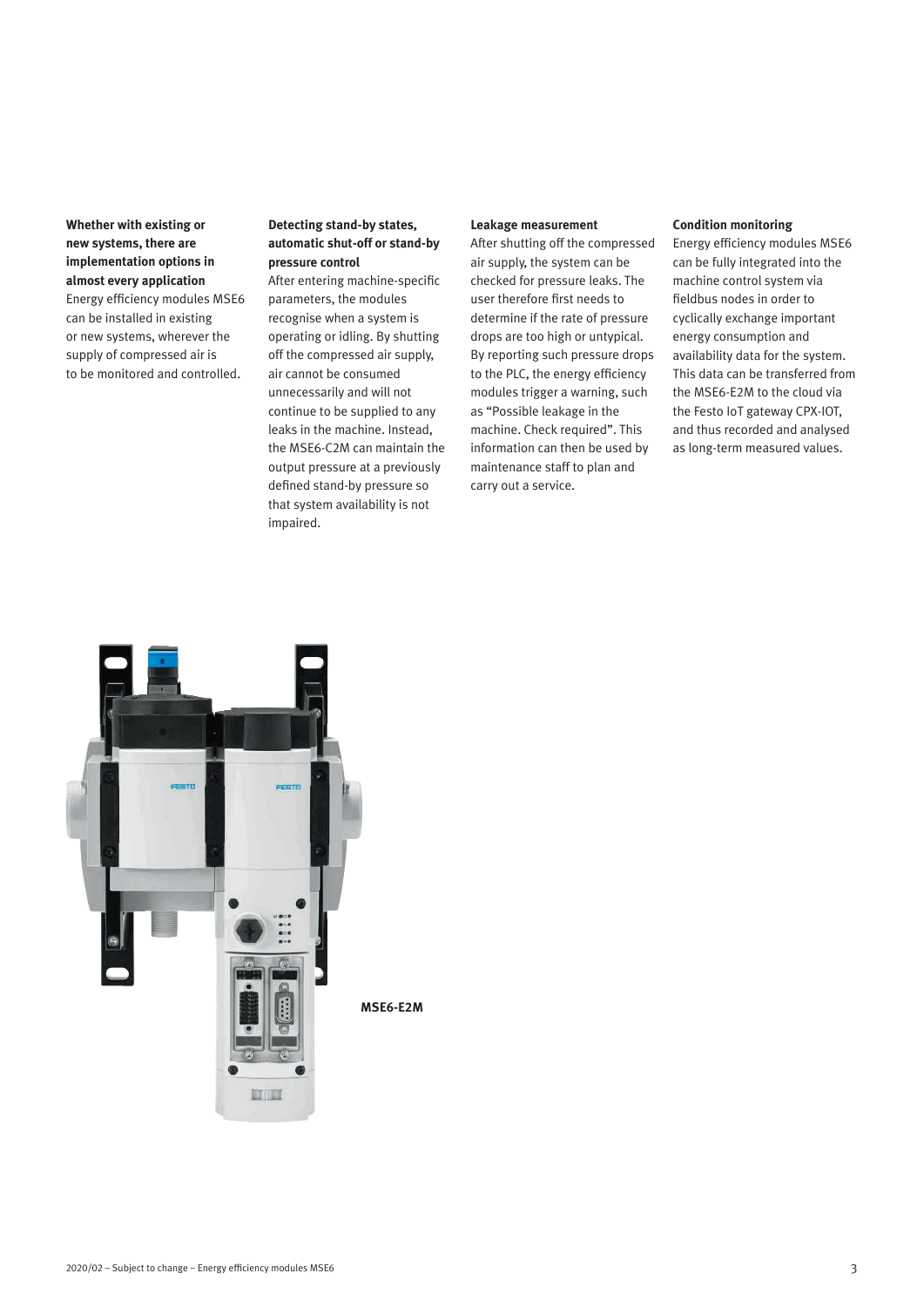**Whether with existing or new systems, there are implementation options in almost every application** Energy efficiency modules MSE6 can be installed in existing or new systems, wherever the supply of compressed air is to be monitored and controlled.

## **Detecting stand-by states, automatic shut-off or stand-by pressure control**

After entering machine-specific parameters, the modules recognise when a system is operating or idling. By shutting off the compressed air supply, air cannot be consumed unnecessarily and will not continue to be supplied to any leaks in the machine. Instead, the MSE6-C2M can maintain the output pressure at a previously defined stand-by pressure so that system availability is not impaired.

#### **Leakage measurement**

After shutting off the compressed air supply, the system can be checked for pressure leaks. The user therefore first needs to determine if the rate of pressure drops are too high or untypical. By reporting such pressure drops to the PLC, the energy efficiency modules trigger a warning, such as "Possible leakage in the machine. Check required". This information can then be used by maintenance staff to plan and carry out a service.

#### **Condition monitoring**

Energy efficiency modules MSE6 can be fully integrated into the machine control system via fieldbus nodes in order to cyclically exchange important energy consumption and availability data for the system. This data can be transferred from the MSE6-E2M to the cloud via the Festo IoT gateway CPX-IOT, and thus recorded and analysed as long-term measured values.



**MSE6-E2M**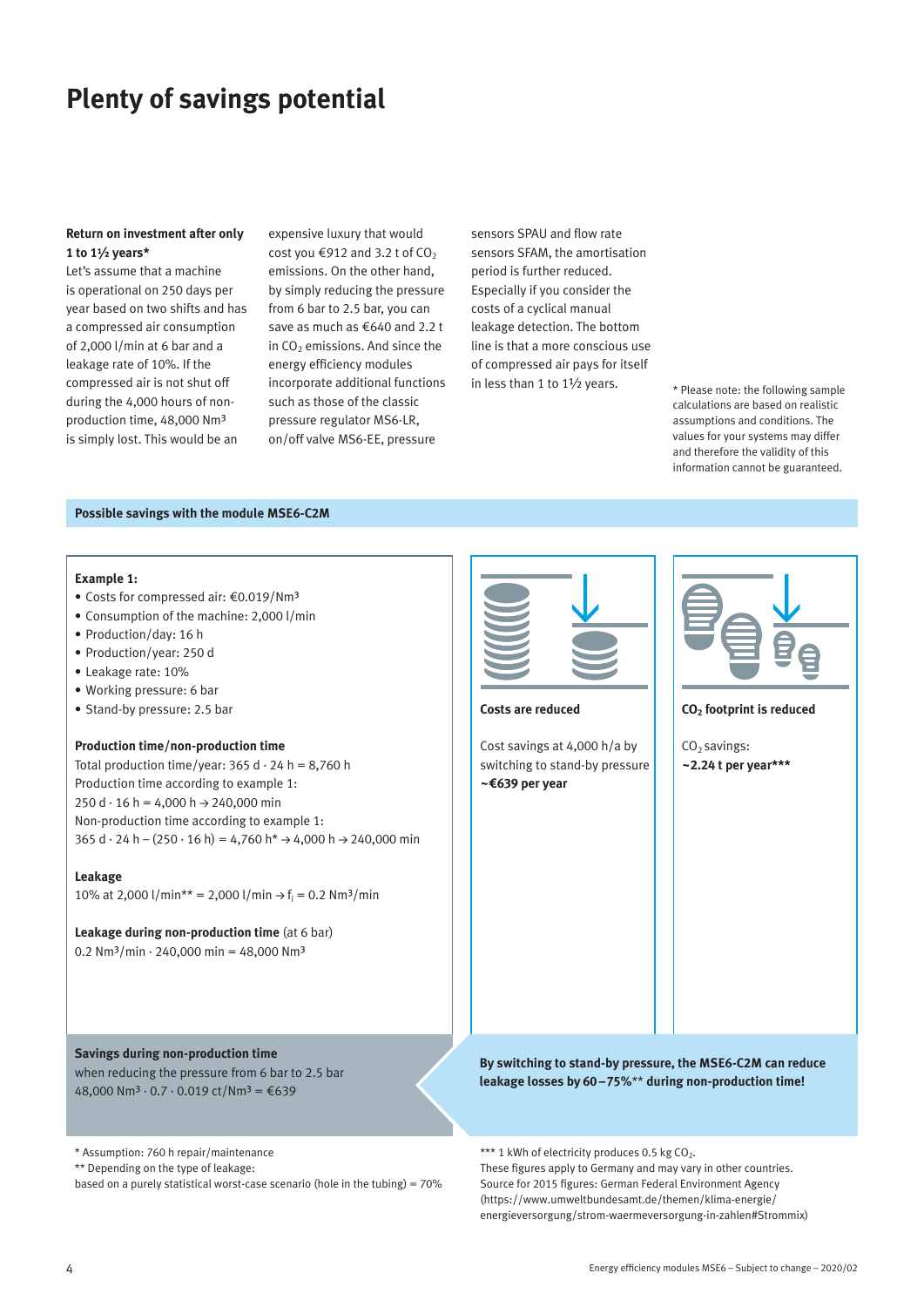## **Plenty of savings potential**

### **Return on investment after only 1 to 1½ years\***

Let's assume that a machine is operational on 250 days per year based on two shifts and has a compressed air consumption of 2,000 l/min at 6 bar and a leakage rate of 10%. If the compressed air is not shut off during the 4,000 hours of nonproduction time, 48,000 Nm³ is simply lost. This would be an

expensive luxury that would cost you  $\text{\textsterling}912$  and 3.2 t of CO<sub>2</sub> emissions. On the other hand, by simply reducing the pressure from 6 bar to 2.5 bar, you can save as much as €640 and 2.2 t in  $CO<sub>2</sub>$  emissions. And since the energy efficiency modules incorporate additional functions such as those of the classic pressure regulator MS6-LR, on/off valve MS6-EE, pressure

sensors SPAU and flow rate sensors SFAM, the amortisation period is further reduced. Especially if you consider the costs of a cyclical manual leakage detection. The bottom line is that a more conscious use of compressed air pays for itself in less than 1 to 1½ years.

\* Please note: the following sample calculations are based on realistic assumptions and conditions. The values for your systems may differ and therefore the validity of this information cannot be guaranteed.

#### **Possible savings with the module MSE6-C2M**

#### **Example 1:**

- Costs for compressed air: €0.019/Nm³
- Consumption of the machine: 2,000 l/min
- Production/day: 16 h
- Production/year: 250 d
- Leakage rate: 10%
- Working pressure: 6 bar
- Stand-by pressure: 2.5 bar

### **Production time/non-production time**

Total production time/year:  $365$  d  $\cdot$  24 h = 8,760 h Production time according to example 1: 250 d  $\cdot$  16 h = 4,000 h  $\rightarrow$  240,000 min Non-production time according to example 1:  $365 d \cdot 24 h - (250 \cdot 16 h) = 4,760 h^* \rightarrow 4,000 h \rightarrow 240,000 min$ 

#### **Leakage**

10% at 2,000 l/min\*\* = 2,000 l/min  $\rightarrow$  f<sub>i</sub> = 0.2 Nm<sup>3</sup>/min

**Leakage during non-production time** (at 6 bar) 0.2 Nm<sup>3</sup>/min · 240,000 min = 48,000 Nm<sup>3</sup>

**Savings during non-production time** when reducing the pressure from 6 bar to 2.5 bar 48,000 Nm<sup>3</sup> · 0.7 · 0.019 ct/Nm<sup>3</sup> = €639

\* Assumption: 760 h repair/maintenance

\*\* Depending on the type of leakage:

based on a purely statistical worst-case scenario (hole in the tubing) = 70%



#### **Costs are reduced**

Cost savings at 4,000 h/a by switching to stand-by pressure **~€639 per year**



#### **CO2 footprint is reduced**

 $CO<sub>2</sub>$  savings: **~2.24 t per year\*\*\***

**By switching to stand-by pressure, the MSE6-C2M can reduce leakage losses by 60 –75%**\*\* **during non-production time!**

\*\*\* 1 kWh of electricity produces 0.5 kg  $CO<sub>2</sub>$ .

These figures apply to Germany and may vary in other countries. Source for 2015 figures: German Federal Environment Agency (https://www.umweltbundesamt.de/themen/klima-energie/ energieversorgung/strom-waermeversorgung-in-zahlen#Strommix)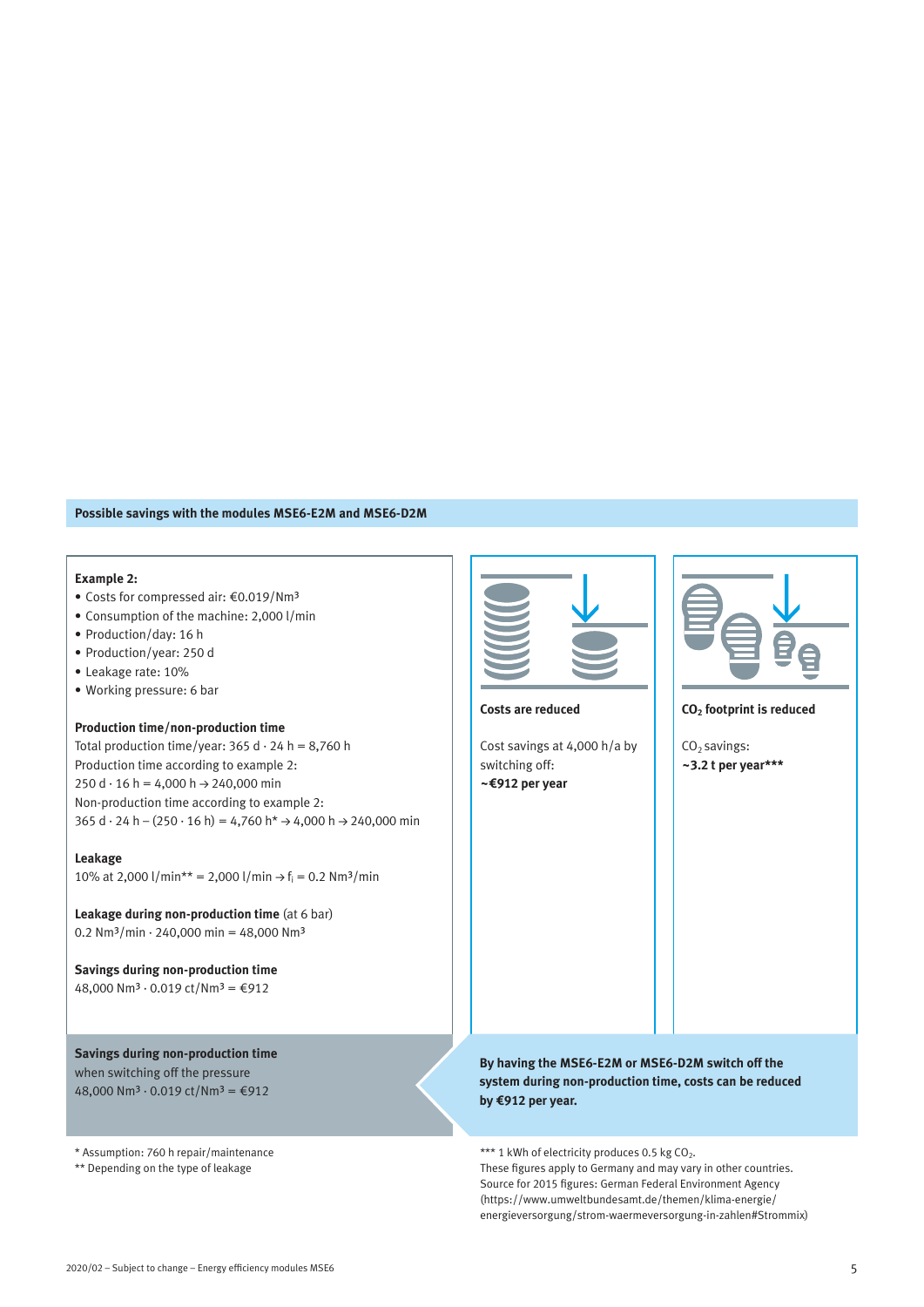#### **Possible savings with the modules MSE6-E2M and MSE6-D2M**

#### **Example 2:**

- Costs for compressed air: €0.019/Nm³
- Consumption of the machine: 2,000 l/min
- Production/day: 16 h
- Production/year: 250 d
- Leakage rate: 10%
- Working pressure: 6 bar

#### **Production time/non-production time**

Total production time/year:  $365 d \cdot 24 h = 8,760 h$ Production time according to example 2:  $250 d \cdot 16 h = 4,000 h \rightarrow 240,000 min$ Non-production time according to example 2:  $365$  d  $\cdot$  24 h – (250  $\cdot$  16 h) = 4,760 h\*  $\rightarrow$  4,000 h  $\rightarrow$  240,000 min

## **Leakage** 10% at 2,000 l/min\*\* = 2,000 l/min  $\rightarrow$  f<sub>i</sub> = 0.2 Nm<sup>3</sup>/min

**Leakage during non-production time** (at 6 bar) 0.2 Nm<sup>3</sup>/min · 240,000 min = 48,000 Nm<sup>3</sup>

**Savings during non-production time** 48,000 Nm<sup>3</sup> ⋅ 0.019 ct/Nm<sup>3</sup> = €912

**Savings during non-production time** when switching off the pressure 48,000 Nm<sup>3</sup> ⋅ 0.019 ct/Nm<sup>3</sup> =  $€912$ 

\* Assumption: 760 h repair/maintenance \*\* Depending on the type of leakage



#### **Costs are reduced**

Cost savings at 4,000 h/a by switching off: **~€912 per year**



#### **CO2 footprint is reduced**

 $CO<sub>2</sub>$  savings: **~3.2 t per year\*\*\***

## **By having the MSE6-E2M or MSE6-D2M switch off the system during non-production time, costs can be reduced by €912 per year.**

\*\*\* 1 kWh of electricity produces 0.5 kg  $CO<sub>2</sub>$ . These figures apply to Germany and may vary in other countries. Source for 2015 figures: German Federal Environment Agency (https://www.umweltbundesamt.de/themen/klima-energie/ energieversorgung/strom-waermeversorgung-in-zahlen#Strommix)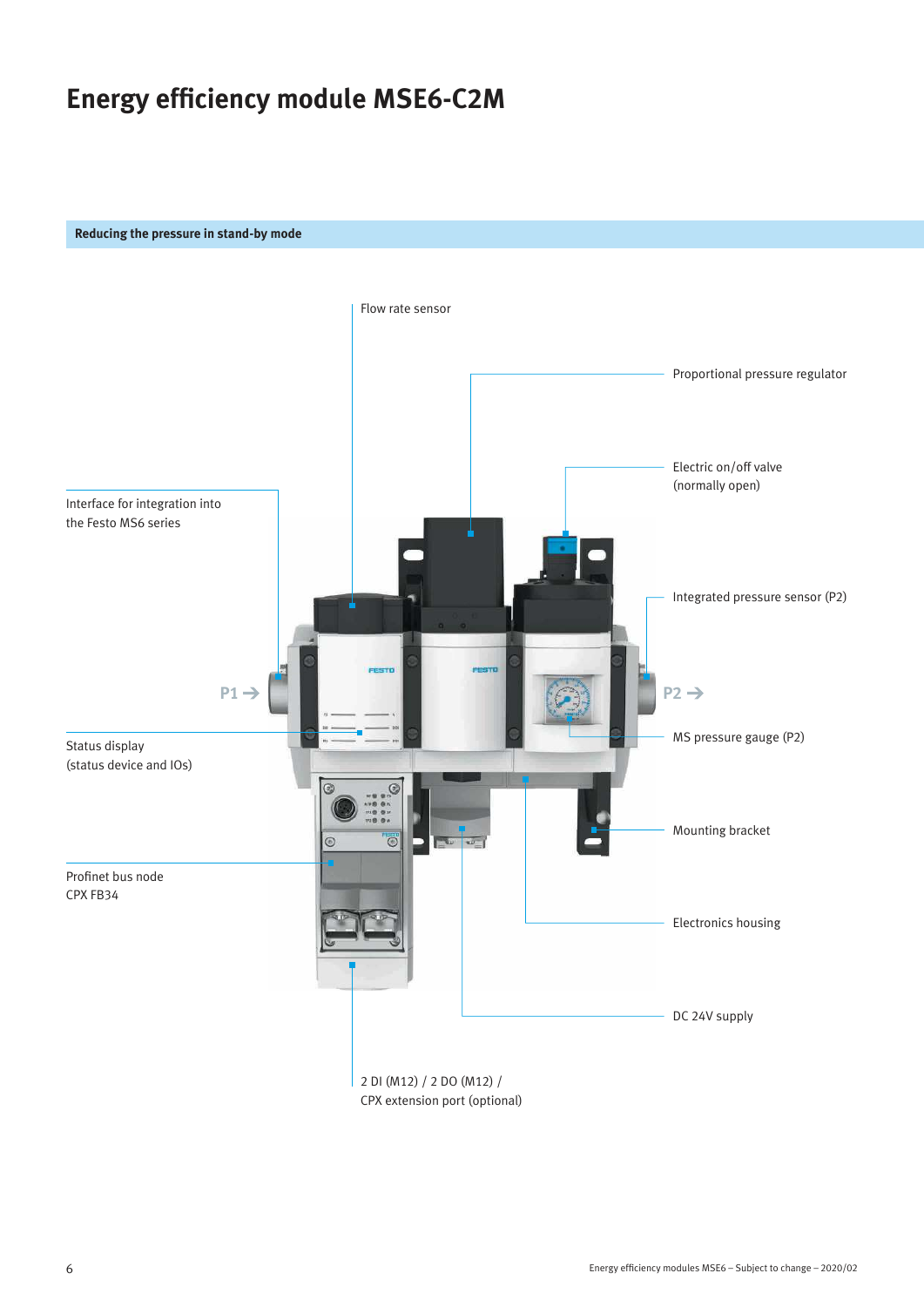# **Energy efficiency module MSE6-C2M**

## **Reducing the pressure in stand-by mode**

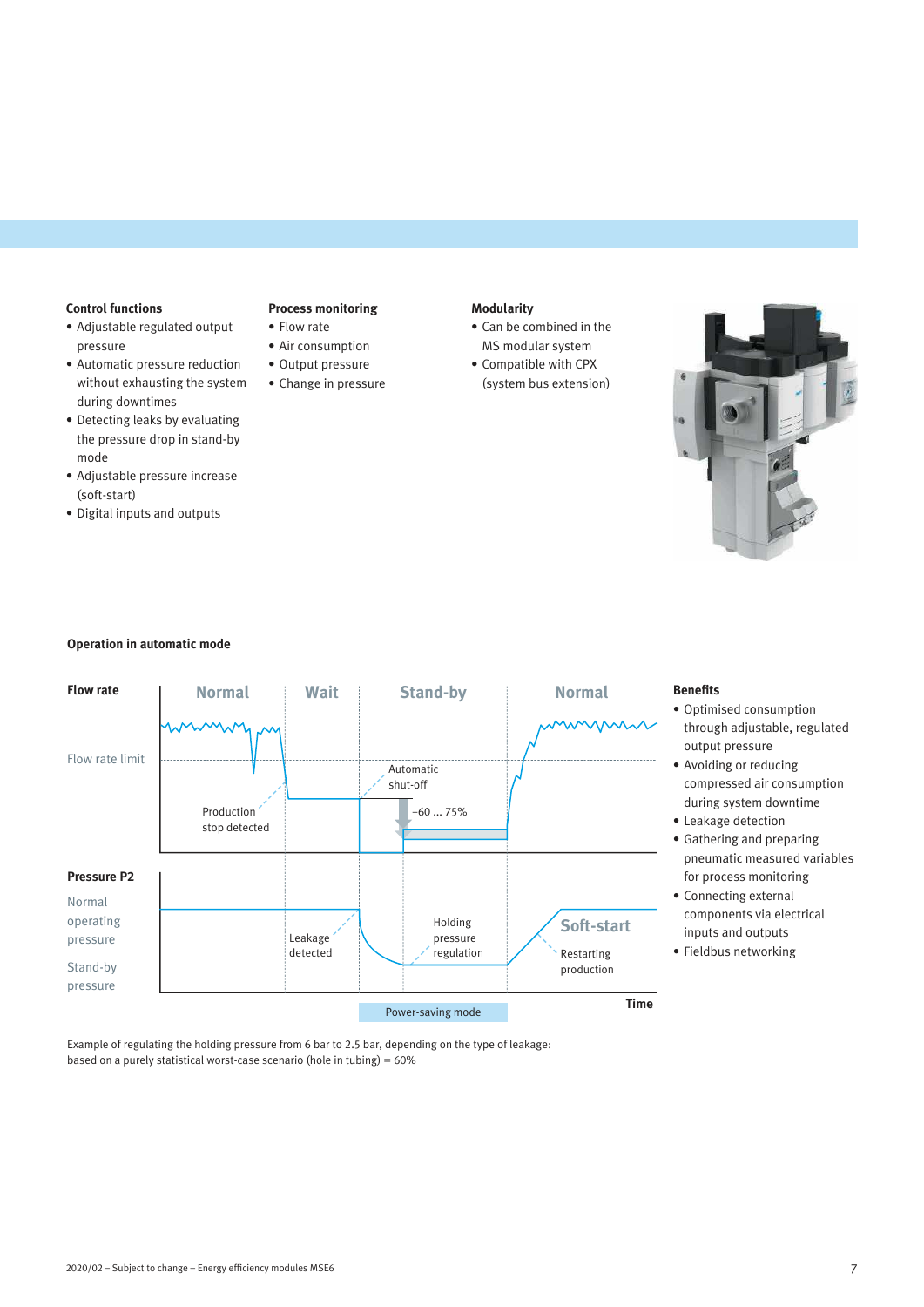## **Control functions**

- Adjustable regulated output pressure
- Automatic pressure reduction without exhausting the system during downtimes
- Detecting leaks by evaluating the pressure drop in stand-by mode
- Adjustable pressure increase (soft-start)
- Digital inputs and outputs

## **Process monitoring**

- Flow rate • Air consumption
- Output pressure
- Change in pressure

## **Modularity**

- Can be combined in the MS modular system
- Compatible with CPX (system bus extension)



### **Operation in automatic mode**



## **Benefits**

- Optimised consumption through adjustable, regulated output pressure
- Avoiding or reducing compressed air consumption during system downtime
- Leakage detection • Gathering and preparing
- pneumatic measured variables for process monitoring
- Connecting external components via electrical inputs and outputs
- Fieldbus networking

Example of regulating the holding pressure from 6 bar to 2.5 bar, depending on the type of leakage: based on a purely statistical worst-case scenario (hole in tubing) = 60%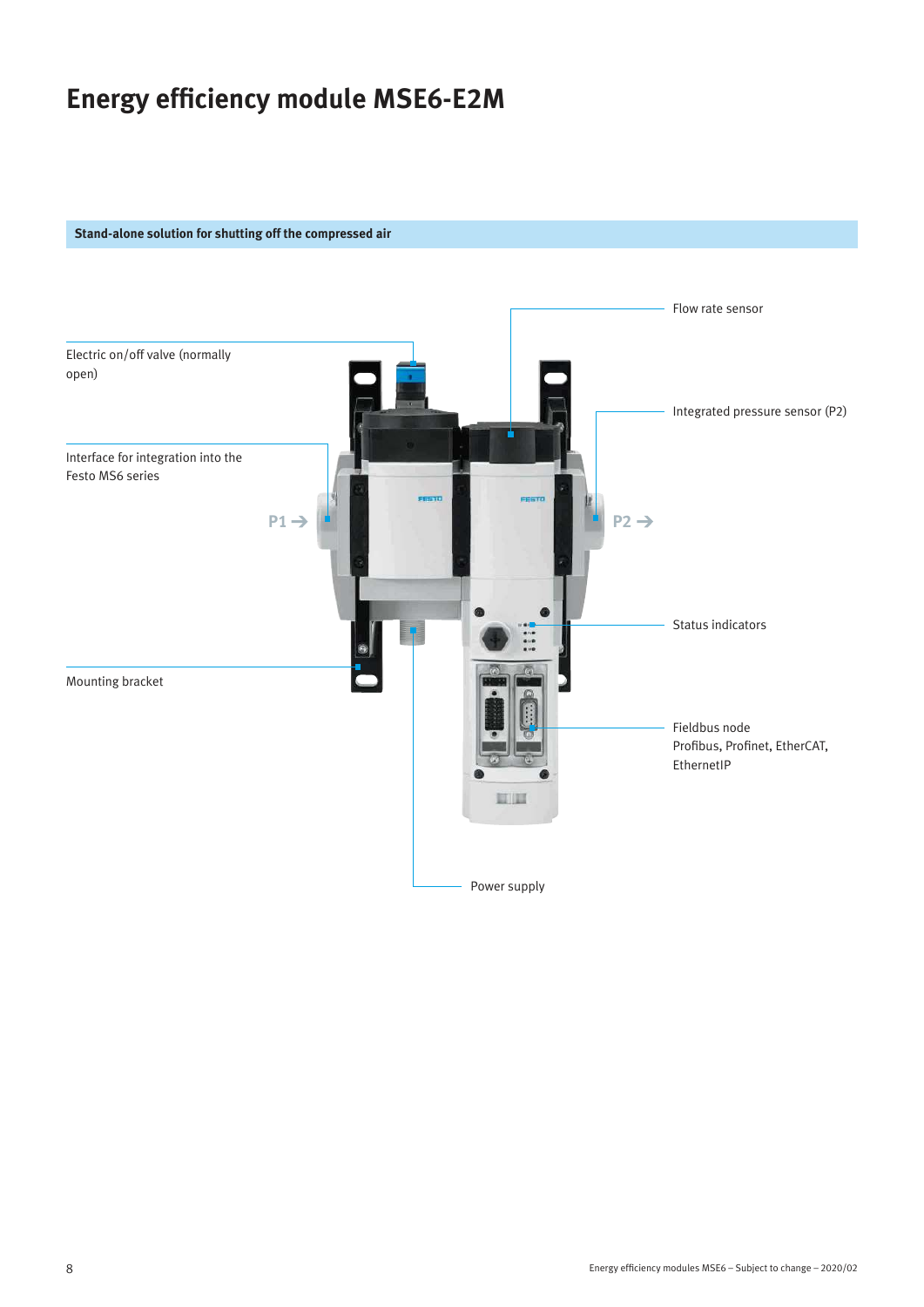## **Energy efficiency module MSE6-E2M**

## **Stand-alone solution for shutting off the compressed air**

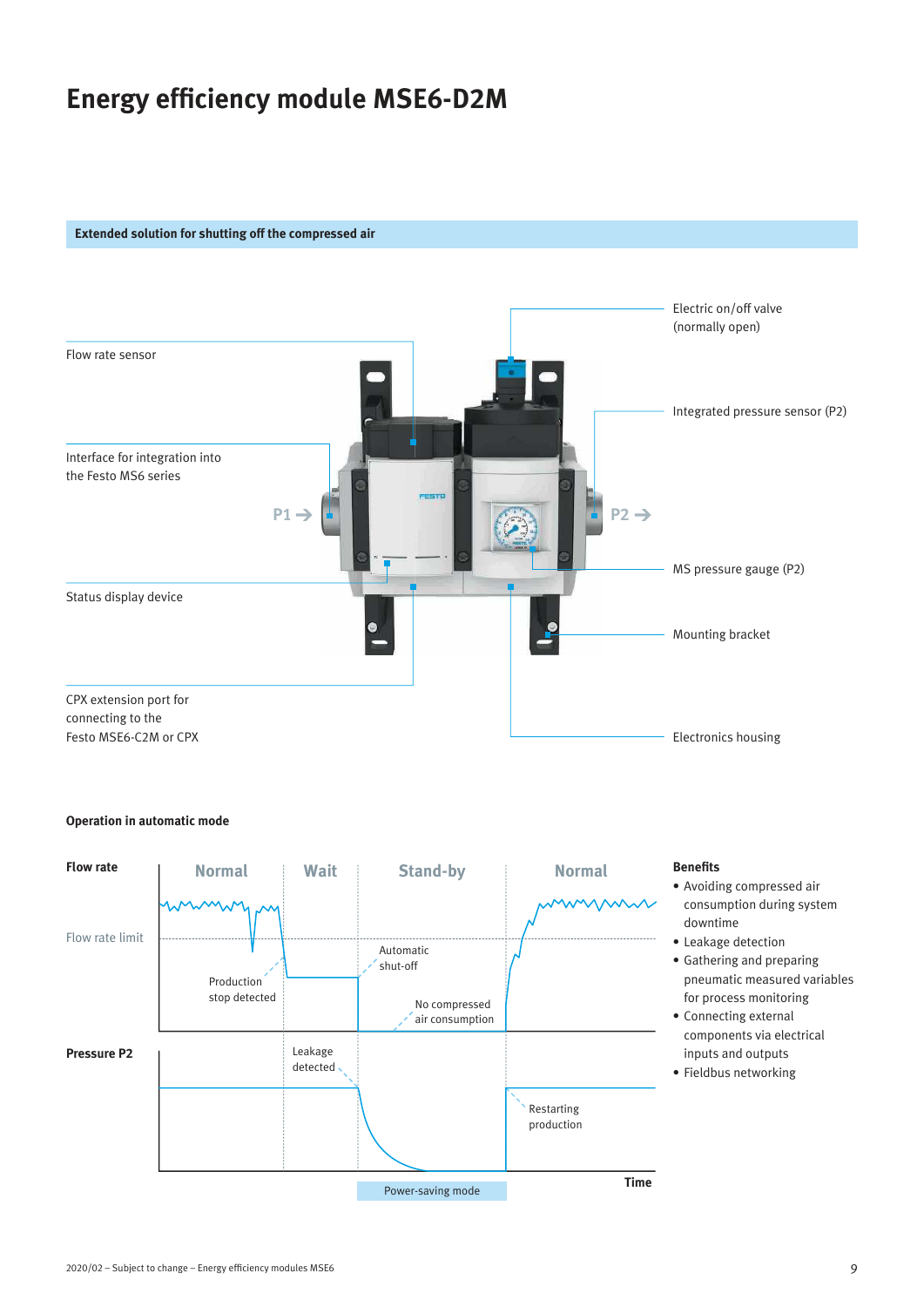## **Energy efficiency module MSE6-D2M**

### **Extended solution for shutting off the compressed air**



### **Operation in automatic mode**

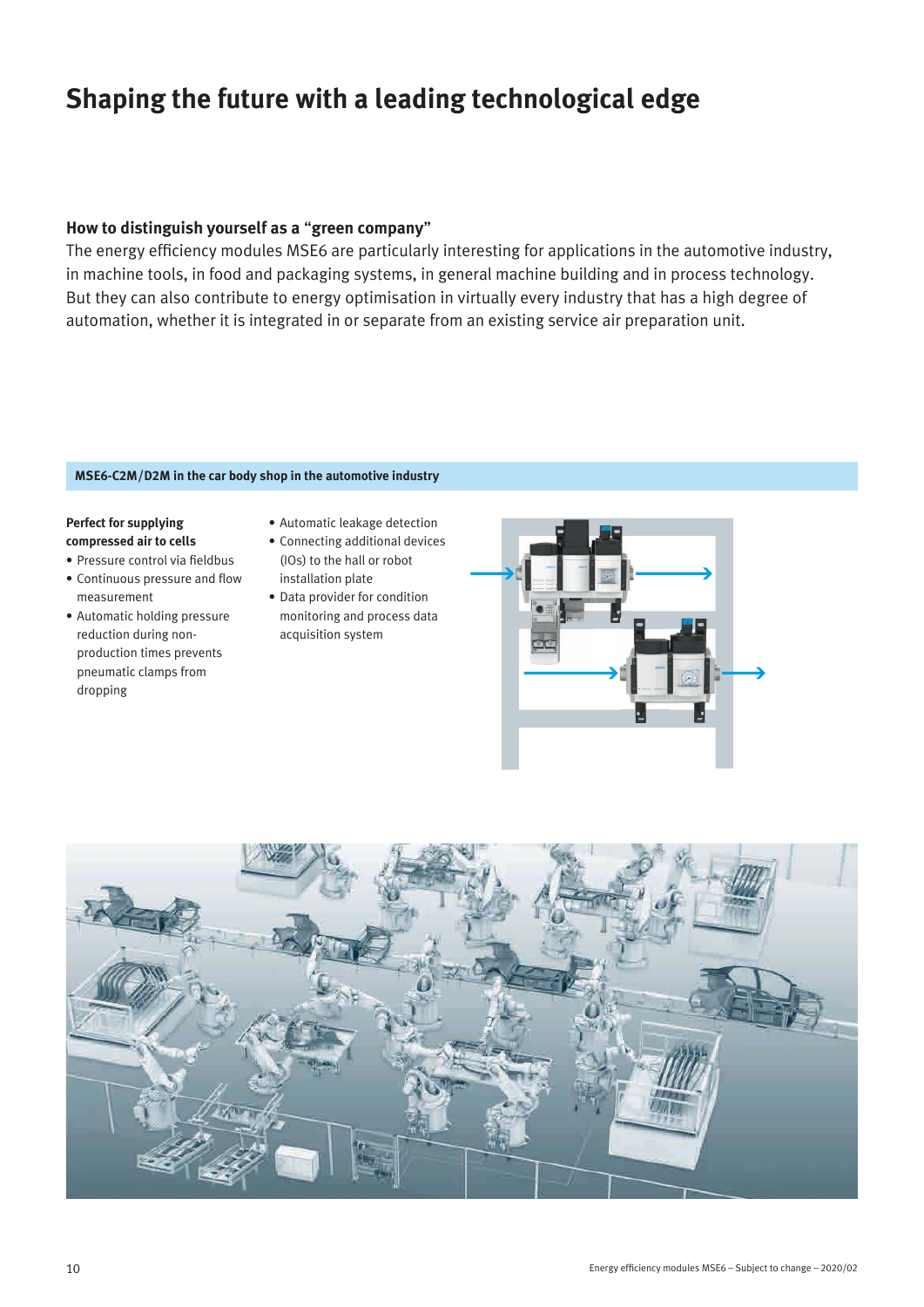## **Shaping the future with a leading technological edge**

## **How to distinguish yourself as a** "**green company**"

The energy efficiency modules MSE6 are particularly interesting for applications in the automotive industry, in machine tools, in food and packaging systems, in general machine building and in process technology. But they can also contribute to energy optimisation in virtually every industry that has a high degree of automation, whether it is integrated in or separate from an existing service air preparation unit.

## **MSE6-C2M/D2M in the car body shop in the automotive industry**

## **Perfect for supplying compressed air to cells**

- Pressure control via fieldbus
- Continuous pressure and flow measurement
- Automatic holding pressure reduction during nonproduction times prevents pneumatic clamps from dropping
- Automatic leakage detection
- Connecting additional devices (IOs) to the hall or robot installation plate
- Data provider for condition monitoring and process data acquisition system



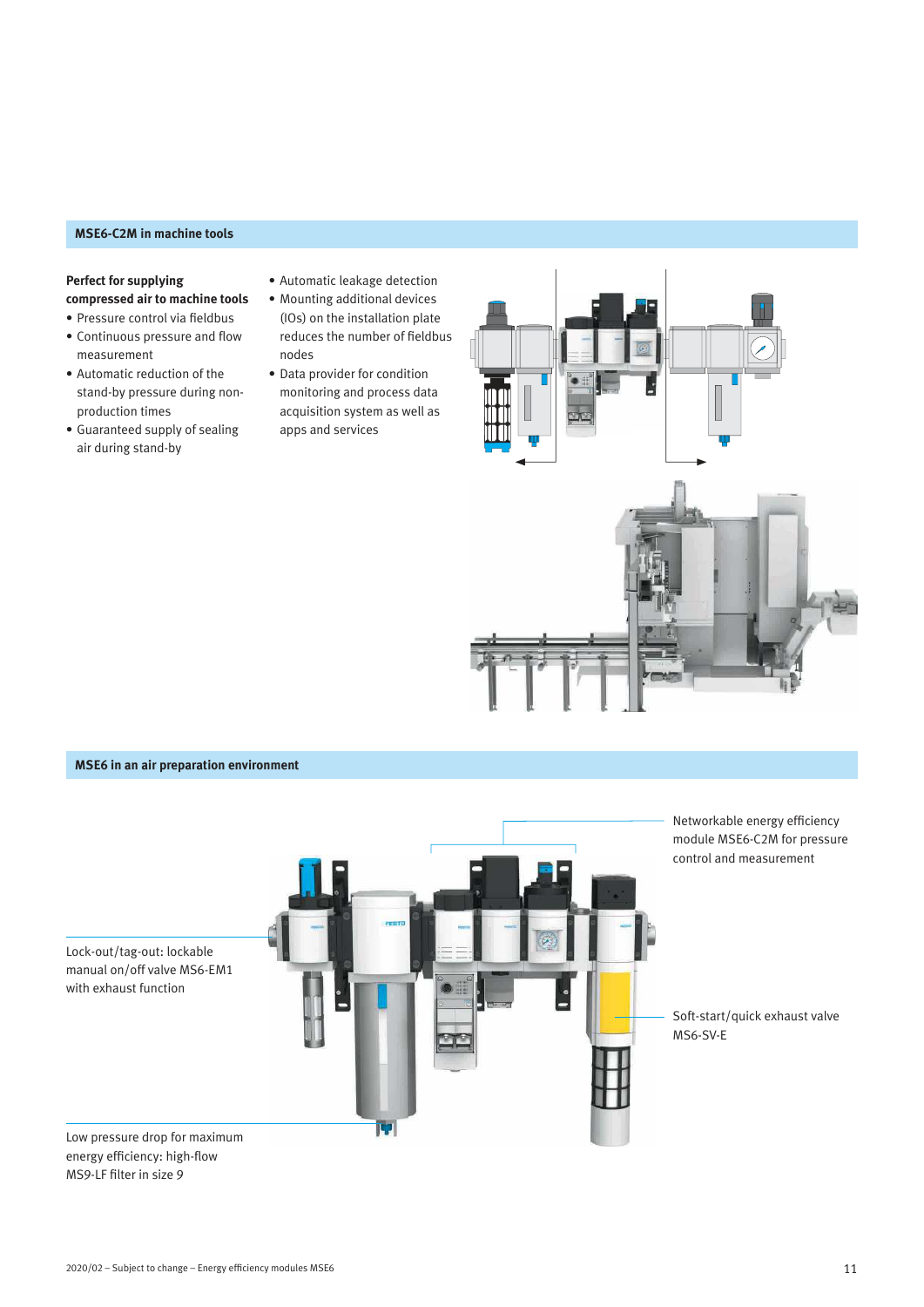## **MSE6-C2M in machine tools**

## **Perfect for supplying compressed air to machine tools**

• Pressure control via fieldbus

- Continuous pressure and flow measurement
- Automatic reduction of the stand-by pressure during nonproduction times
- Guaranteed supply of sealing air during stand-by
- Automatic leakage detection
- Mounting additional devices (IOs) on the installation plate reduces the number of fieldbus nodes
- Data provider for condition monitoring and process data acquisition system as well as apps and services



## **MSE6 in an air preparation environment**

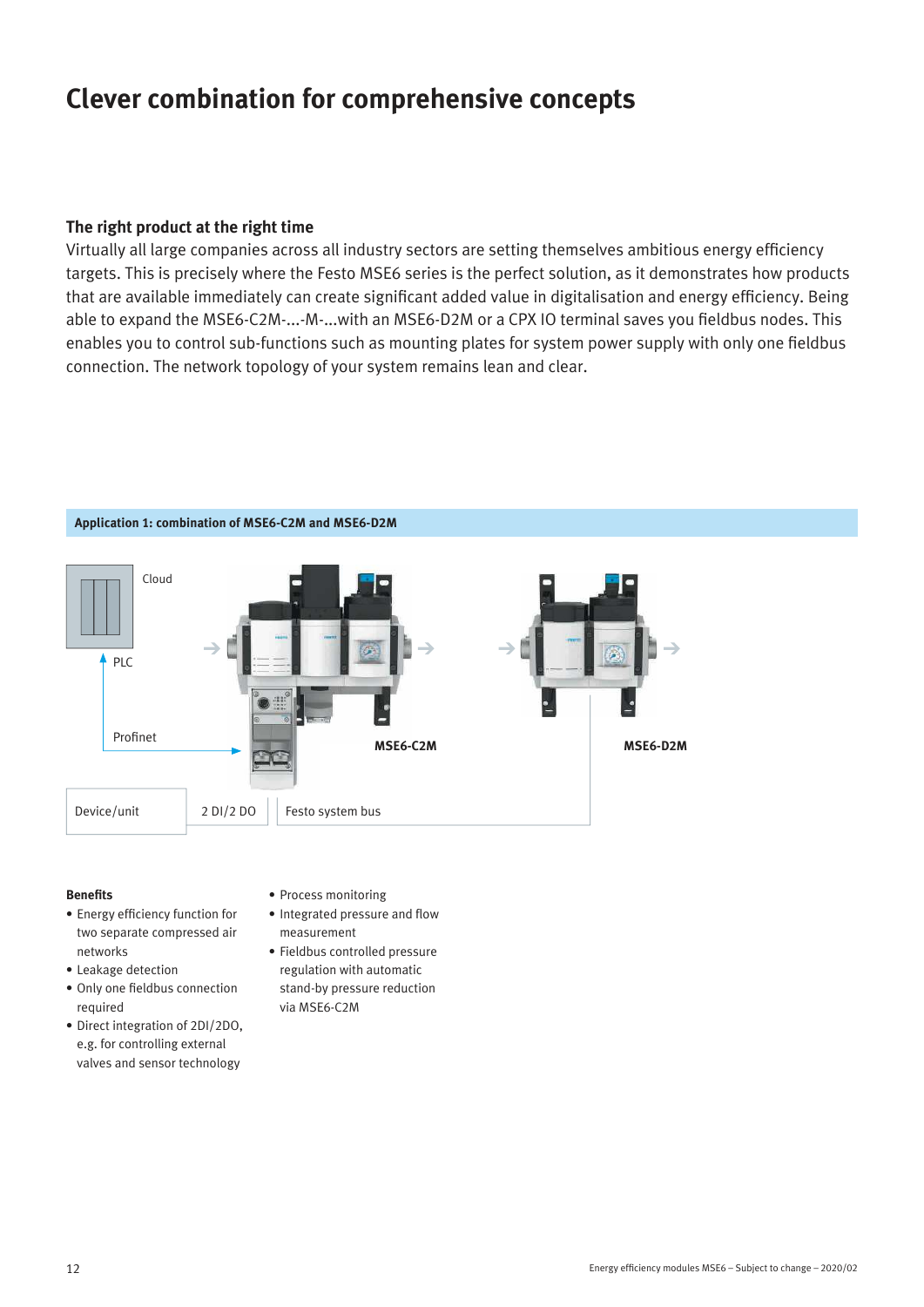## **Clever combination for comprehensive concepts**

## **The right product at the right time**

Virtually all large companies across all industry sectors are setting themselves ambitious energy efficiency targets. This is precisely where the Festo MSE6 series is the perfect solution, as it demonstrates how products that are available immediately can create significant added value in digitalisation and energy efficiency. Being able to expand the MSE6-C2M-...-M-...with an MSE6-D2M or a CPX IO terminal saves you fieldbus nodes. This enables you to control sub-functions such as mounting plates for system power supply with only one fieldbus connection. The network topology of your system remains lean and clear.



## **Benefits**

- Energy efficiency function for two separate compressed air networks
- Leakage detection
- Only one fieldbus connection required
- Direct integration of 2DI/2DO, e.g. for controlling external valves and sensor technology
- Process monitoring
- Integrated pressure and flow measurement
- Fieldbus controlled pressure regulation with automatic stand-by pressure reduction via MSE6-C2M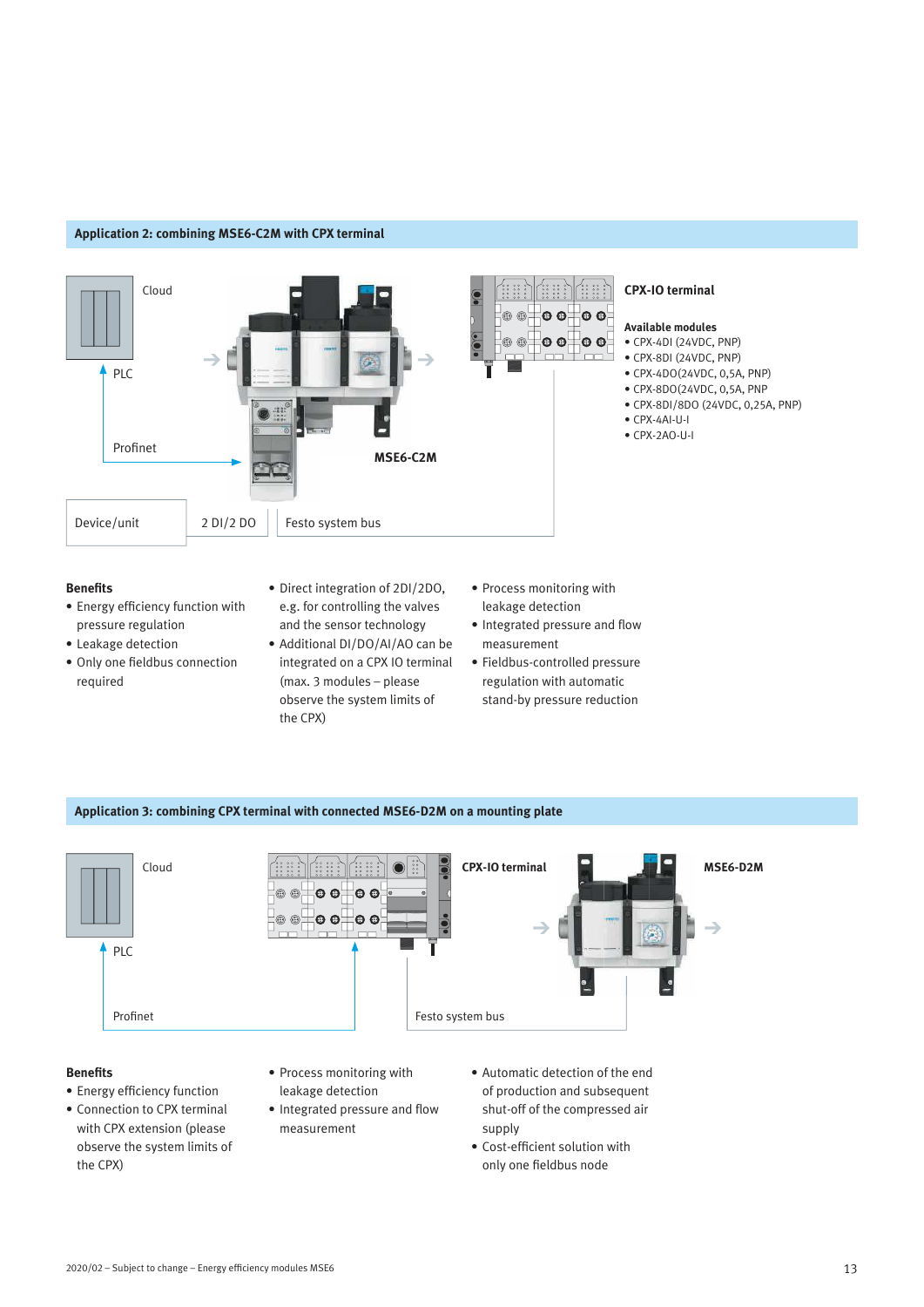### **Application 2: combining MSE6-C2M with CPX terminal**



#### **Benefits**

- Energy efficiency function with pressure regulation
- Leakage detection
- Only one fieldbus connection required
- Direct integration of 2DI/2DO, e.g. for controlling the valves and the sensor technology
- Additional DI/DO/AI/AO can be integrated on a CPX IO terminal (max. 3 modules – please observe the system limits of the CPX)
- Process monitoring with leakage detection
- Integrated pressure and flow measurement
- Fieldbus-controlled pressure regulation with automatic stand-by pressure reduction

## **Application 3: combining CPX terminal with connected MSE6-D2M on a mounting plate**



## **Benefits**

- Energy efficiency function
- Connection to CPX terminal with CPX extension (please observe the system limits of the CPX)
- Process monitoring with leakage detection
- Integrated pressure and flow measurement
- Automatic detection of the end of production and subsequent shut-off of the compressed air supply
- Cost-efficient solution with only one fieldbus node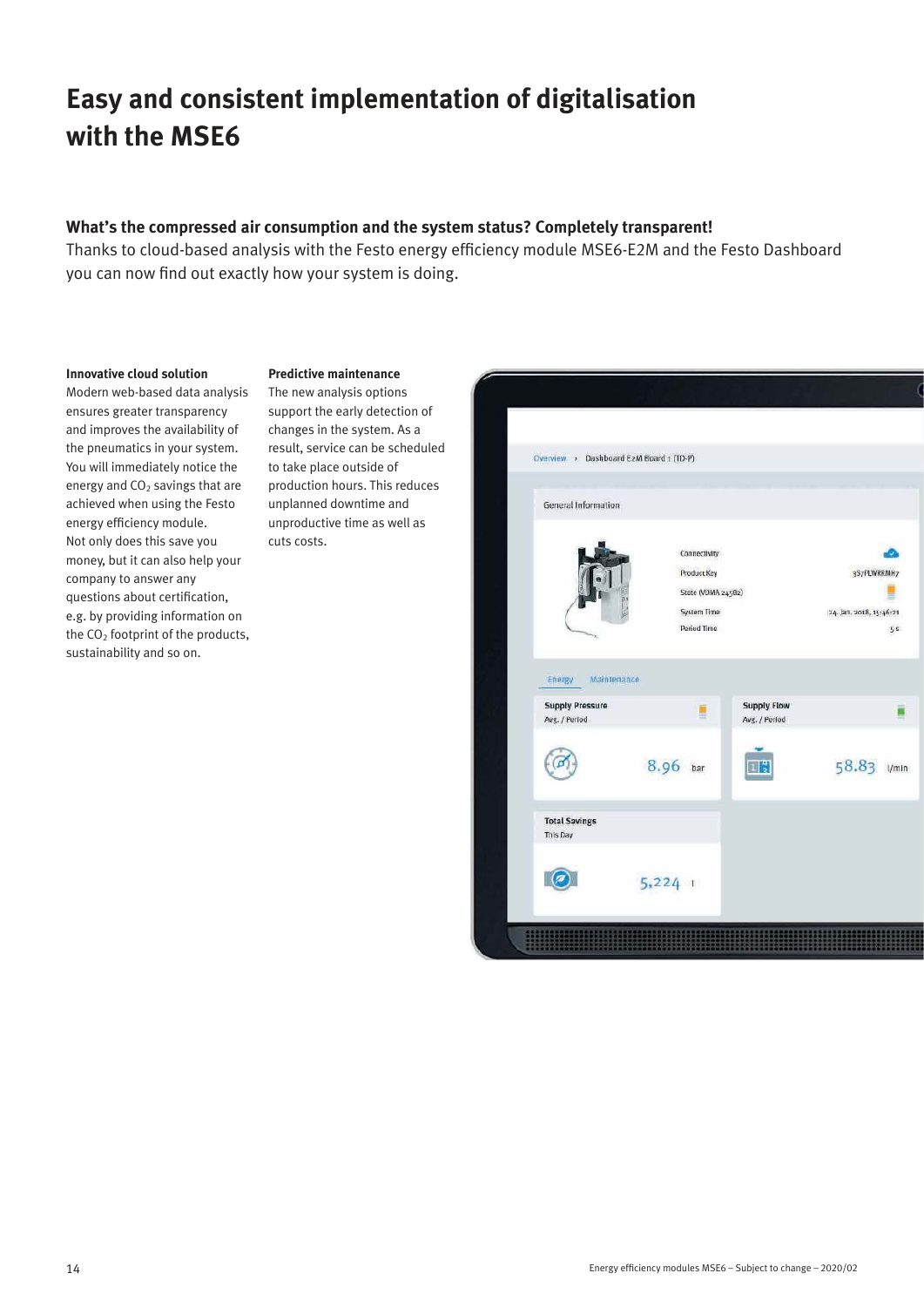## **Easy and consistent implementation of digitalisation with the MSE6**

## **What's the compressed air consumption and the system status? Completely transparent!**

Thanks to cloud-based analysis with the Festo energy efficiency module MSE6-E2M and the Festo Dashboard you can now find out exactly how your system is doing.

#### **Innovative cloud solution**

Modern web-based data analysis ensures greater transparency and improves the availability of the pneumatics in your system. You will immediately notice the energy and  $CO<sub>2</sub>$  savings that are achieved when using the Festo energy efficiency module. Not only does this save you money, but it can also help your company to answer any questions about certification, e.g. by providing information on the  $CO<sub>2</sub>$  footprint of the products, sustainability and so on.

## **Predictive maintenance**

The new analysis options support the early detection of changes in the system. As a result, service can be scheduled to take place outside of production hours. This reduces unplanned downtime and unproductive time as well as cuts costs.

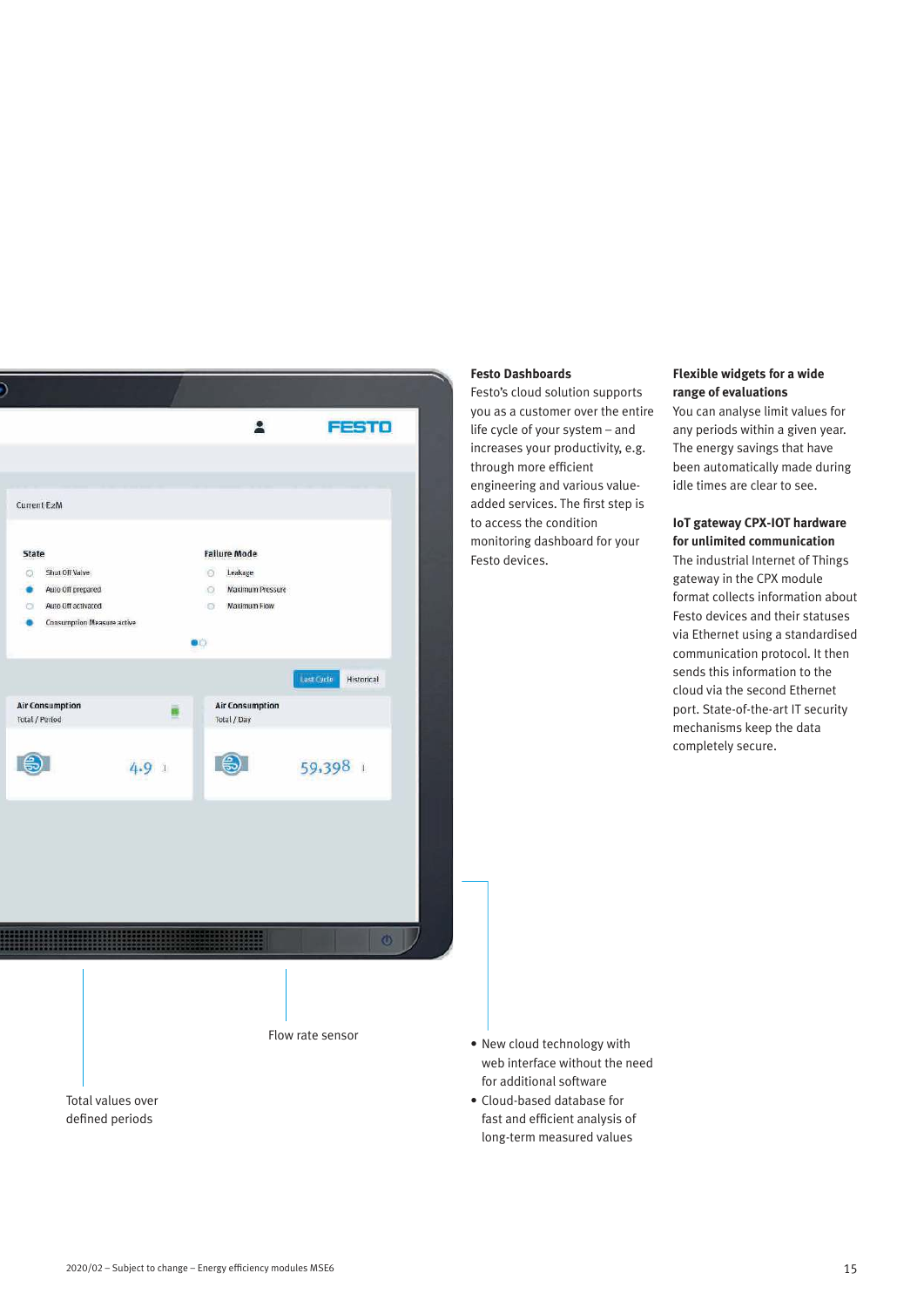

### **Festo Dashboards**

Festo's cloud solution supports you as a customer over the entire life cycle of your system – and increases your productivity, e.g. through more efficient engineering and various valueadded services. The first step is to access the condition monitoring dashboard for your Festo devices.

### **Flexible widgets for a wide range of evaluations**

You can analyse limit values for any periods within a given year. The energy savings that have been automatically made during idle times are clear to see.

## **IoT gateway CPX-IOT hardware for unlimited communication**

The industrial Internet of Things gateway in the CPX module format collects information about Festo devices and their statuses via Ethernet using a standardised communication protocol. It then sends this information to the cloud via the second Ethernet port. State-of-the-art IT security mechanisms keep the data completely secure.

- New cloud technology with web interface without the need for additional software
- Cloud-based database for fast and efficient analysis of long-term measured values